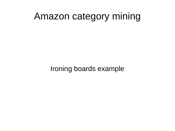# Amazon category mining

Ironing boards example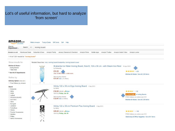## Lot's of useful information, but hard to analyze 'from screen'

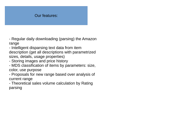## Our features:

- Regular daily downloading (parsing) the Amazon range

- Intelligent disparsing text data from item description (get all descriptions with parametrized sizes, details, usage properties)

- Storing images and price history

- MDS classification of items by parameters: size, color, use purpose

- Proposals for new range based over analysis of current range

- Theoretical sales volume calculation by Rating parsing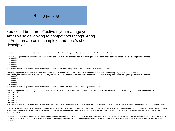#### Rating parsing

You could be more effective if you manage your Amazon sales looking to competitors ratings. Ating in Amazon are quite complex, and here's short description:

Amazon does indeed know what they're doing. They are skewing the ratings. They add all the stars and divide it by the number of reviewers.

Let's say 25 people reviewed a product, let's say, a toaster, and each star got 5 peoples votes. With 1 being the lowest rating, and 5 being the highest. (1-5 stars being the only choices) 5 x 5 stars= 25 5 x 4 stars= 20

5 x 3 stars= 15

5 x 2 stars= 10

5 x 1 stars= 5

Total stars is 75 divided by 25 reviewers = an average 3 star rating. Not a bad rating. Amazon will probably sell a lot of these toasters.

Somebody suggested they should start with a zero star rating. Let's try that, and still do it Amazon's way of adding up the stars and dividing it by the number of reviewers. Now, lets say the same 25 people reviewed the toaster, and each star got 5 peoples votes. This time with zero being the lowest rating, and 4 being the highest. (you still have 5 choices) 5 x 4 stars= 20

5 x 3 stars= 15

5 x 2 stars= 10

5 x 1 stars= 5

5 x 0 stars= 0

Total stars is 50 divided by 25 reviewers = an average 2 star rating. Uh oh. The toaster doesn't look so good now does it?

Somebody suggested a 6 star rating, 0-5. Lets try that. Only this time we'll have 30 reviewers since we have 6 choices. We are still neutral because each star gets the same number of votes, 5.

5 x 5 stars= 25 5 x 4 stars= 20 5 x 3 stars= 15 5 x 2 stars= 10 5 x 1 stars= 5

5 x 0 stars= 0

Total stars is 75 divided by 30 reviewers = an average 2.5 star rating. The toaster still doesn't look so good, but this is more accurate, and it should be because we gave people the opportunity to vote zero.

Obviously, since Amazon forces any reviewer to give a product at least a 1 star rating, it skews the rating in favor of the product, especially when other people vote 4 and 5 stars. Why? Well, if only 5 people voted 1 star, it would have a 1 star rating which means you DO NOT recommend the product. The problem here is, the 5 star rating is built on the 1 star ratings, and in this case that first star equals recommendation.

If you want a more accurate star rating, simply take Amazon's average rating and divide it by 1.25. In the above example where 5 people each voted for one of the star categories for a 3 star rating, it would actually equal a 2.4. Not too good. The bottom line: Amazon's ratings are ALWAYS high, but lets not forget, Amazon is selling things here. Trust the reviewers that have a lot of reviews, both positive and negative.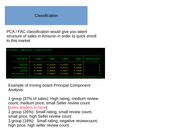### Classification

PCA / FAC classification would give you latent structure of sales in Amazon in order to quick enroll to this market

| Principal components (eigenvectors) |        |           |           |                   |             |
|-------------------------------------|--------|-----------|-----------|-------------------|-------------|
| Variable                            | Comp1  | Comp2     | Comp3     | Comp <sub>4</sub> | Unexplained |
| rating                              | 0.6333 | $-0.0319$ | $-0.0307$ | $-0.7726$         | о           |
| reviewcount                         | 0.5763 | 0.2399    | $-0.6110$ | 0.4868            | О           |
| price                               | 0.4956 | $-0.4850$ | 0.5977    | 0.4025            | о           |
| sellerrevi~t                        | 0.1455 | 0.8403    | 0.5182    | 0.0640            | O           |

Example of Ironing board Principal Component Analysis:

1 group (37% of sales): High rating, medium review count, medium price, small Seller review count [sales leaders in here] 2 group (26%): Small rating, small review count, small price, high Seller review count 3 group (18%): Small rating, negative reviewcount, high price, high seller review count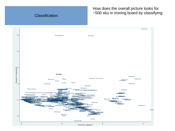## **Classification**

How does the overall picture looks for ~500 sku in Ironing board by classifying: